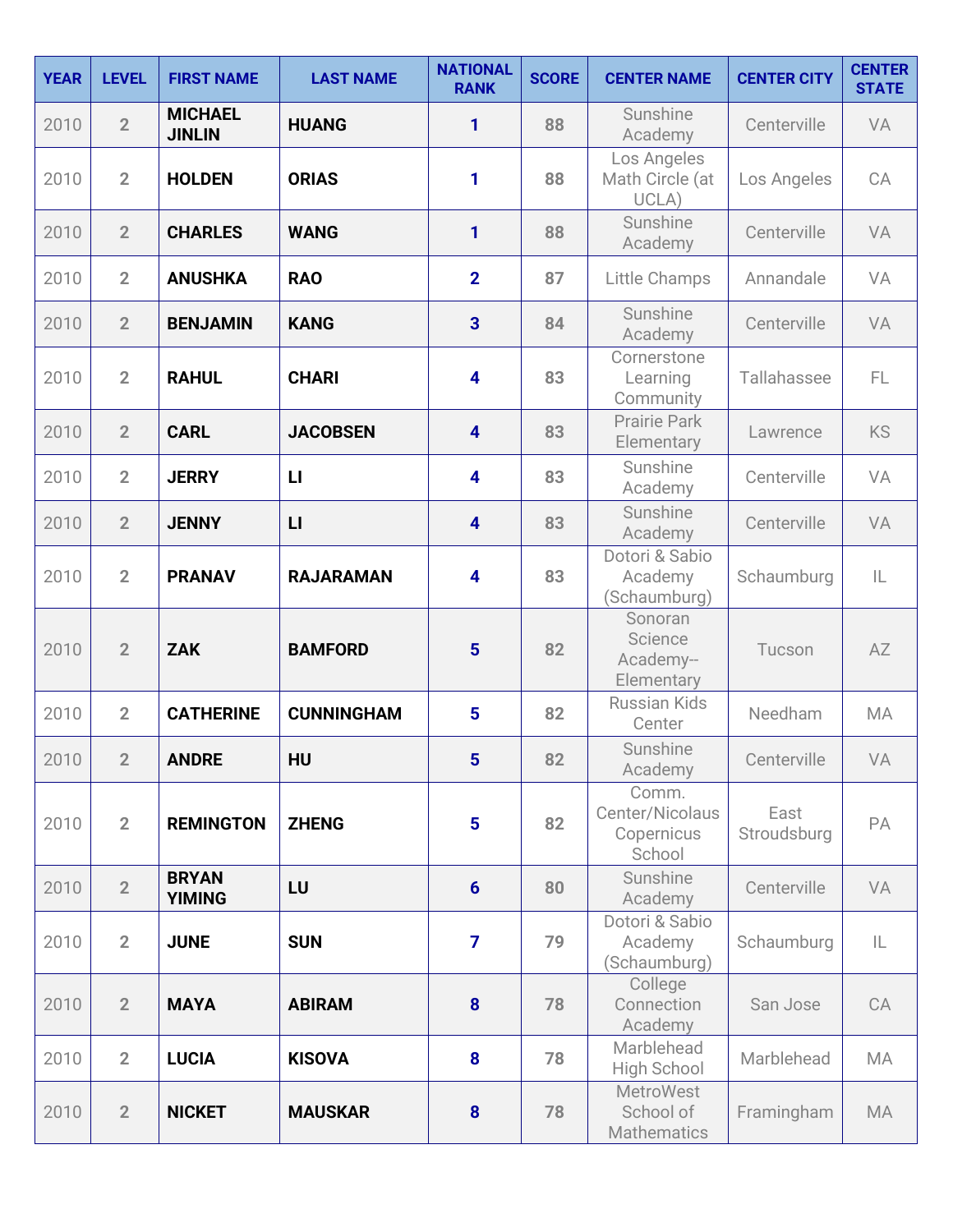| <b>YEAR</b> | <b>LEVEL</b>   | <b>FIRST NAME</b>               | <b>LAST NAME</b>  | <b>NATIONAL</b><br><b>RANK</b> | <b>SCORE</b> | <b>CENTER NAME</b>                               | <b>CENTER CITY</b>  | <b>CENTER</b><br><b>STATE</b> |
|-------------|----------------|---------------------------------|-------------------|--------------------------------|--------------|--------------------------------------------------|---------------------|-------------------------------|
| 2010        | $\overline{2}$ | <b>MICHAEL</b><br><b>JINLIN</b> | <b>HUANG</b>      | 1                              | 88           | Sunshine<br>Academy                              | Centerville         | VA                            |
| 2010        | $\overline{2}$ | <b>HOLDEN</b>                   | <b>ORIAS</b>      | 1                              | 88           | Los Angeles<br>Math Circle (at<br>UCLA)          | Los Angeles         | CA                            |
| 2010        | $\overline{2}$ | <b>CHARLES</b>                  | <b>WANG</b>       | 1                              | 88           | Sunshine<br>Academy                              | Centerville         | VA                            |
| 2010        | $\overline{2}$ | <b>ANUSHKA</b>                  | <b>RAO</b>        | $\overline{2}$                 | 87           | Little Champs                                    | Annandale           | VA                            |
| 2010        | $\overline{2}$ | <b>BENJAMIN</b>                 | <b>KANG</b>       | $\overline{\mathbf{3}}$        | 84           | Sunshine<br>Academy                              | Centerville         | VA                            |
| 2010        | $\overline{2}$ | <b>RAHUL</b>                    | <b>CHARI</b>      | $\overline{\mathbf{4}}$        | 83           | Cornerstone<br>Learning<br>Community             | Tallahassee         | FL.                           |
| 2010        | $\overline{2}$ | <b>CARL</b>                     | <b>JACOBSEN</b>   | $\overline{\mathbf{4}}$        | 83           | <b>Prairie Park</b><br>Elementary                | Lawrence            | <b>KS</b>                     |
| 2010        | $\overline{2}$ | <b>JERRY</b>                    | $\mathsf{L}$      | 4                              | 83           | Sunshine<br>Academy                              | Centerville         | VA                            |
| 2010        | $\overline{2}$ | <b>JENNY</b>                    | $\mathsf{L}$      | $\overline{\mathbf{4}}$        | 83           | Sunshine<br>Academy                              | Centerville         | VA                            |
| 2010        | $\overline{2}$ | <b>PRANAV</b>                   | <b>RAJARAMAN</b>  | $\overline{\mathbf{4}}$        | 83           | Dotori & Sabio<br>Academy<br>(Schaumburg)        | Schaumburg          | IL                            |
| 2010        | $\overline{2}$ | <b>ZAK</b>                      | <b>BAMFORD</b>    | $5\phantom{1}$                 | 82           | Sonoran<br>Science<br>Academy--<br>Elementary    | Tucson              | AZ                            |
| 2010        | $\overline{2}$ | <b>CATHERINE</b>                | <b>CUNNINGHAM</b> | 5                              | 82           | <b>Russian Kids</b><br>Center                    | Needham             | MA                            |
| 2010        | $\overline{2}$ | <b>ANDRE</b>                    | HU                | 5                              | 82           | Sunshine<br>Academy                              | Centerville         | VA                            |
| 2010        | $\overline{2}$ | <b>REMINGTON</b>                | <b>ZHENG</b>      | $5\phantom{a}$                 | 82           | Comm.<br>Center/Nicolaus<br>Copernicus<br>School | East<br>Stroudsburg | PA                            |
| 2010        | $\overline{2}$ | <b>BRYAN</b><br><b>YIMING</b>   | LU                | $6\phantom{1}6$                | 80           | Sunshine<br>Academy                              | Centerville         | VA                            |
| 2010        | $\overline{2}$ | <b>JUNE</b>                     | <b>SUN</b>        | $\overline{7}$                 | 79           | Dotori & Sabio<br>Academy<br>(Schaumburg)        | Schaumburg          | IL.                           |
| 2010        | $\overline{2}$ | <b>MAYA</b>                     | <b>ABIRAM</b>     | 8                              | 78           | College<br>Connection<br>Academy                 | San Jose            | CA                            |
| 2010        | $\overline{2}$ | <b>LUCIA</b>                    | <b>KISOVA</b>     | 8                              | 78           | Marblehead<br>High School                        | Marblehead          | MA                            |
| 2010        | $\overline{2}$ | <b>NICKET</b>                   | <b>MAUSKAR</b>    | 8                              | 78           | <b>MetroWest</b><br>School of<br>Mathematics     | Framingham          | MA                            |